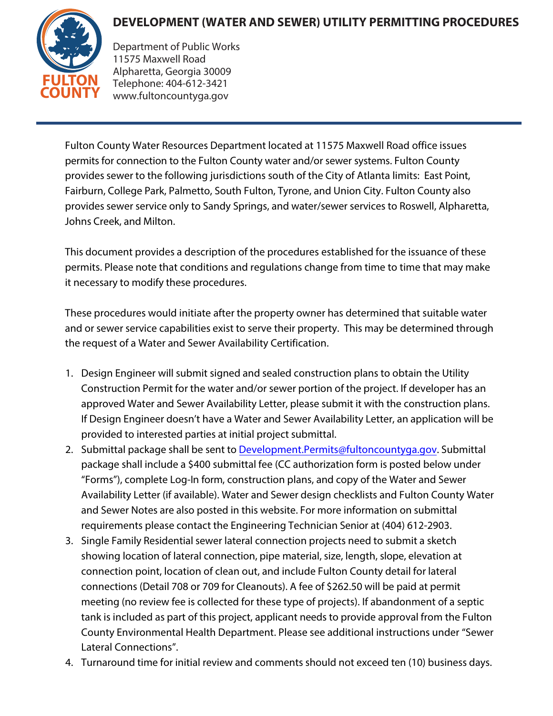## **DEVELOPMENT (WATER AND SEWER) UTILITY PERMITTING PROCEDURES**



Department of Public Works 11575 Maxwell Road Alpharetta, Georgia 30009 Telephone: 404-612-3421 www.fultoncountyga.gov

Fulton County Water Resources Department located at 11575 Maxwell Road office issues permits for connection to the Fulton County water and/or sewer systems. Fulton County provides sewer to the following jurisdictions south of the City of Atlanta limits: East Point, Fairburn, College Park, Palmetto, South Fulton, Tyrone, and Union City. Fulton County also provides sewer service only to Sandy Springs, and water/sewer services to Roswell, Alpharetta, Johns Creek, and Milton.

This document provides a description of the procedures established for the issuance of these permits. Please note that conditions and regulations change from time to time that may make it necessary to modify these procedures.

These procedures would initiate after the property owner has determined that suitable water and or sewer service capabilities exist to serve their property. This may be determined through the request of a Water and Sewer Availability Certification.

- 1. Design Engineer will submit signed and sealed construction plans to obtain the Utility Construction Permit for the water and/or sewer portion of the project. If developer has an approved Water and Sewer Availability Letter, please submit it with the construction plans. If Design Engineer doesn't have a Water and Sewer Availability Letter, an application will be provided to interested parties at initial project submittal.
- 2. Submittal package shall be sent to Development. Permits@fultoncountyga.gov. Submittal package shall include a \$400 submittal fee (CC authorization form is posted below under "Forms"), complete Log-In form, construction plans, and copy of the Water and Sewer Availability Letter (if available). Water and Sewer design checklists and Fulton County Water and Sewer Notes are also posted in this website. For more information on submittal requirements please contact the Engineering Technician Senior at (404) 612-2903.
- 3. Single Family Residential sewer lateral connection projects need to submit a sketch showing location of lateral connection, pipe material, size, length, slope, elevation at connection point, location of clean out, and include Fulton County detail for lateral connections (Detail 708 or 709 for Cleanouts). A fee of \$262.50 will be paid at permit meeting (no review fee is collected for these type of projects). If abandonment of a septic tank is included as part of this project, applicant needs to provide approval from the Fulton County Environmental Health Department. Please see additional instructions under "Sewer Lateral Connections".
- 4. Turnaround time for initial review and comments should not exceed ten (10) business days.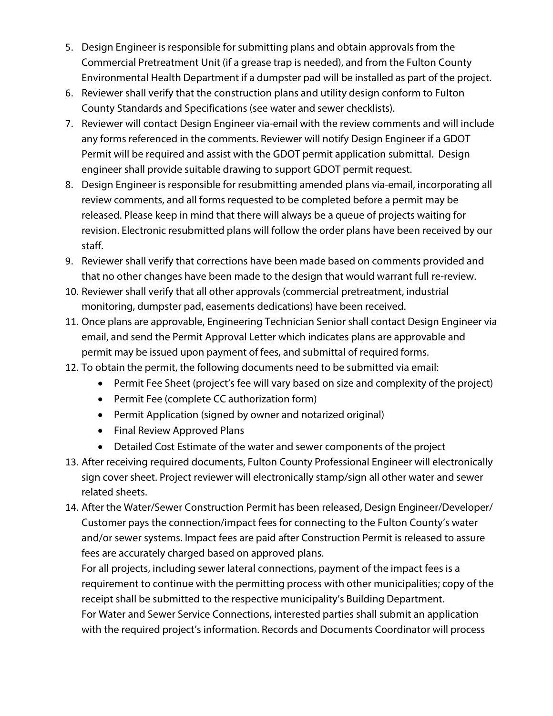- 5. Design Engineer is responsible for submitting plans and obtain approvals from the Commercial Pretreatment Unit (if a grease trap is needed), and from the Fulton County Environmental Health Department if a dumpster pad will be installed as part of the project.
- 6. Reviewer shall verify that the construction plans and utility design conform to Fulton County Standards and Specifications (see water and sewer checklists).
- 7. Reviewer will contact Design Engineer via-email with the review comments and will include any forms referenced in the comments. Reviewer will notify Design Engineer if a GDOT Permit will be required and assist with the GDOT permit application submittal. Design engineer shall provide suitable drawing to support GDOT permit request.
- 8. Design Engineer is responsible for resubmitting amended plans via-email, incorporating all review comments, and all forms requested to be completed before a permit may be released. Please keep in mind that there will always be a queue of projects waiting for revision. Electronic resubmitted plans will follow the order plans have been received by our staff.
- 9. Reviewer shall verify that corrections have been made based on comments provided and that no other changes have been made to the design that would warrant full re-review.
- 10. Reviewer shall verify that all other approvals (commercial pretreatment, industrial monitoring, dumpster pad, easements dedications) have been received.
- 11. Once plans are approvable, Engineering Technician Senior shall contact Design Engineer via email, and send the Permit Approval Letter which indicates plans are approvable and permit may be issued upon payment of fees, and submittal of required forms.
- 12. To obtain the permit, the following documents need to be submitted via email:
	- Permit Fee Sheet (project's fee will vary based on size and complexity of the project)
	- Permit Fee (complete CC authorization form)
	- Permit Application (signed by owner and notarized original)
	- Final Review Approved Plans
	- Detailed Cost Estimate of the water and sewer components of the project
- 13. After receiving required documents, Fulton County Professional Engineer will electronically sign cover sheet. Project reviewer will electronically stamp/sign all other water and sewer related sheets.
- 14. After the Water/Sewer Construction Permit has been released, Design Engineer/Developer/ Customer pays the connection/impact fees for connecting to the Fulton County's water and/or sewer systems. Impact fees are paid after Construction Permit is released to assure fees are accurately charged based on approved plans.

For all projects, including sewer lateral connections, payment of the impact fees is a requirement to continue with the permitting process with other municipalities; copy of the receipt shall be submitted to the respective municipality's Building Department. For Water and Sewer Service Connections, interested parties shall submit an application with the required project's information. Records and Documents Coordinator will process